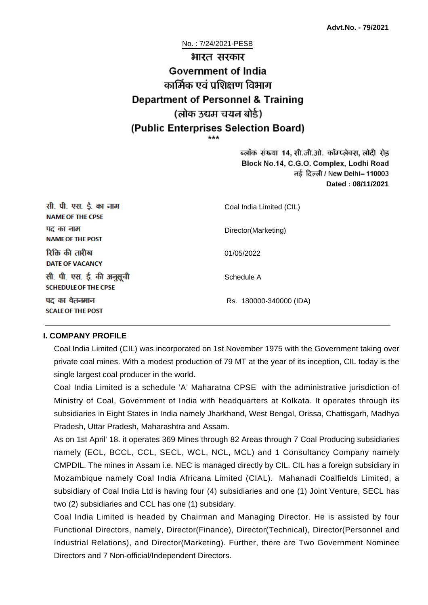No. : 7/24/2021-PESB

# भारत सरकार Government of India कार्मिक एवं पशिक्षण विभाग **Department of Personnel & Training** (लोक उद्यम चयन बोर्ड) (Public Enterprises Selection Board)

ब्लॉक संख्या 14, सी.जी.ओ. कॉम्प्लेक्स, लोदी रोड Block No.14, C.G.O. Complex, Lodhi Road ਰई दिल्ली / New Delhi– 110003 **Dated : 08/11/2021**

| सी. पी. एस. ई. का नाम<br><b>NAME OF THE CPSE</b>         | Coal India Limited (CIL) |
|----------------------------------------------------------|--------------------------|
| पद का नाम<br><b>NAME OF THE POST</b>                     | Director(Marketing)      |
| रिक्ति की तारीख<br><b>DATE OF VACANCY</b>                | 01/05/2022               |
| सी. पी. एस. ई. की अनुसूची<br><b>SCHEDULE OF THE CPSE</b> | Schedule A               |
| पद का वेतनमान<br><b>SCALE OF THE POST</b>                | Rs. 180000-340000 (IDA)  |

#### **I. COMPANY PROFILE**

Coal India Limited (CIL) was incorporated on 1st November 1975 with the Government taking over private coal mines. With a modest production of 79 MT at the year of its inception, CIL today is the single largest coal producer in the world.

Coal India Limited is a schedule 'A' Maharatna CPSE with the administrative jurisdiction of Ministry of Coal, Government of India with headquarters at Kolkata. It operates through its subsidiaries in Eight States in India namely Jharkhand, West Bengal, Orissa, Chattisgarh, Madhya Pradesh, Uttar Pradesh, Maharashtra and Assam.

As on 1st April' 18. it operates 369 Mines through 82 Areas through 7 Coal Producing subsidiaries namely (ECL, BCCL, CCL, SECL, WCL, NCL, MCL) and 1 Consultancy Company namely CMPDIL. The mines in Assam i.e. NEC is managed directly by CIL. CIL has a foreign subsidiary in Mozambique namely Coal India Africana Limited (CIAL). Mahanadi Coalfields Limited, a subsidiary of Coal India Ltd is having four (4) subsidiaries and one (1) Joint Venture, SECL has two (2) subsidiaries and CCL has one (1) subsidary.

Coal India Limited is headed by Chairman and Managing Director. He is assisted by four Functional Directors, namely, Director(Finance), Director(Technical), Director(Personnel and Industrial Relations), and Director(Marketing). Further, there are Two Government Nominee Directors and 7 Non-official/Independent Directors.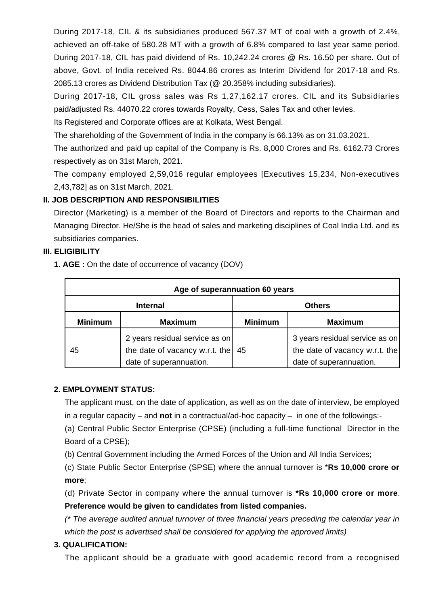During 2017-18, CIL & its subsidiaries produced 567.37 MT of coal with a growth of 2.4%, achieved an off-take of 580.28 MT with a growth of 6.8% compared to last year same period. During 2017-18, CIL has paid dividend of Rs. 10,242.24 crores @ Rs. 16.50 per share. Out of above, Govt. of India received Rs. 8044.86 crores as Interim Dividend for 2017-18 and Rs. 2085.13 crores as Dividend Distribution Tax (@ 20.358% including subsidiaries).

During 2017-18, CIL gross sales was Rs 1,27,162.17 crores. CIL and its Subsidiaries paid/adjusted Rs. 44070.22 crores towards Royalty, Cess, Sales Tax and other levies.

Its Registered and Corporate offices are at Kolkata, West Bengal.

The shareholding of the Government of India in the company is 66.13% as on 31.03.2021.

The authorized and paid up capital of the Company is Rs. 8,000 Crores and Rs. 6162.73 Crores respectively as on 31st March, 2021.

The company employed 2,59,016 regular employees [Executives 15,234, Non-executives 2,43,782] as on 31st March, 2021.

#### **II. JOB DESCRIPTION AND RESPONSIBILITIES**

Director (Marketing) is a member of the Board of Directors and reports to the Chairman and Managing Director. He/She is the head of sales and marketing disciplines of Coal India Ltd. and its subsidiaries companies.

#### **III. ELIGIBILITY**

**1. AGE :** On the date of occurrence of vacancy (DOV)

| Age of superannuation 60 years |                                                                                             |                |                                                                                             |
|--------------------------------|---------------------------------------------------------------------------------------------|----------------|---------------------------------------------------------------------------------------------|
| <b>Internal</b>                |                                                                                             | <b>Others</b>  |                                                                                             |
| <b>Minimum</b>                 | <b>Maximum</b>                                                                              | <b>Minimum</b> | <b>Maximum</b>                                                                              |
| 45                             | 2 years residual service as on<br>the date of vacancy w.r.t. the<br>date of superannuation. | 45             | 3 years residual service as on<br>the date of vacancy w.r.t. the<br>date of superannuation. |

#### **2. EMPLOYMENT STATUS:**

The applicant must, on the date of application, as well as on the date of interview, be employed in a regular capacity – and **not** in a contractual/ad-hoc capacity – in one of the followings:-

(a) Central Public Sector Enterprise (CPSE) (including a full-time functional Director in the Board of a CPSE);

(b) Central Government including the Armed Forces of the Union and All India Services;

(c) State Public Sector Enterprise (SPSE) where the annual turnover is \***Rs 10,000 crore or more**;

(d) Private Sector in company where the annual turnover is **\*Rs 10,000 crore or more**. **Preference would be given to candidates from listed companies.**

(\* The average audited annual turnover of three financial years preceding the calendar year in which the post is advertised shall be considered for applying the approved limits)

## **3. QUALIFICATION:**

The applicant should be a graduate with good academic record from a recognised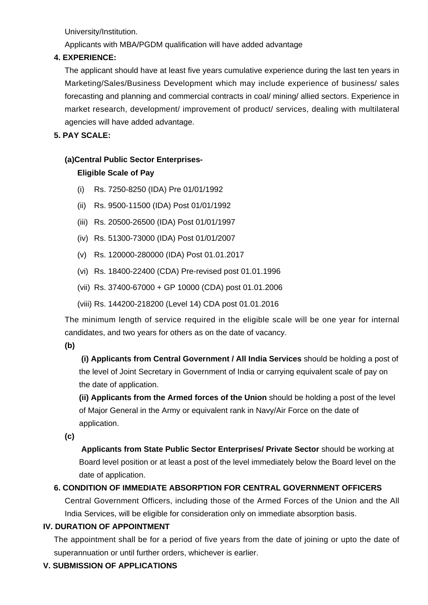University/Institution.

Applicants with MBA/PGDM qualification will have added advantage

#### **4. EXPERIENCE:**

The applicant should have at least five years cumulative experience during the last ten years in Marketing/Sales/Business Development which may include experience of business/ sales forecasting and planning and commercial contracts in coal/ mining/ allied sectors. Experience in market research, development/ improvement of product/ services, dealing with multilateral agencies will have added advantage.

**5. PAY SCALE:**

## **(a)Central Public Sector Enterprises-**

## **Eligible Scale of Pay**

- (i) Rs. 7250-8250 (IDA) Pre 01/01/1992
- (ii) Rs. 9500-11500 (IDA) Post 01/01/1992
- (iii) Rs. 20500-26500 (IDA) Post 01/01/1997
- (iv) Rs. 51300-73000 (IDA) Post 01/01/2007
- (v) Rs. 120000-280000 (IDA) Post 01.01.2017
- (vi) Rs. 18400-22400 (CDA) Pre-revised post 01.01.1996
- (vii) Rs. 37400-67000 + GP 10000 (CDA) post 01.01.2006
- (viii) Rs. 144200-218200 (Level 14) CDA post 01.01.2016

The minimum length of service required in the eligible scale will be one year for internal candidates, and two years for others as on the date of vacancy.

**(b)**

**(i) Applicants from Central Government / All India Services** should be holding a post of the level of Joint Secretary in Government of India or carrying equivalent scale of pay on the date of application.

**(ii) Applicants from the Armed forces of the Union** should be holding a post of the level of Major General in the Army or equivalent rank in Navy/Air Force on the date of application.

**(c)**

 **Applicants from State Public Sector Enterprises/ Private Sector** should be working at Board level position or at least a post of the level immediately below the Board level on the date of application.

## **6. CONDITION OF IMMEDIATE ABSORPTION FOR CENTRAL GOVERNMENT OFFICERS**

Central Government Officers, including those of the Armed Forces of the Union and the All India Services, will be eligible for consideration only on immediate absorption basis.

## **IV. DURATION OF APPOINTMENT**

The appointment shall be for a period of five years from the date of joining or upto the date of superannuation or until further orders, whichever is earlier.

## **V. SUBMISSION OF APPLICATIONS**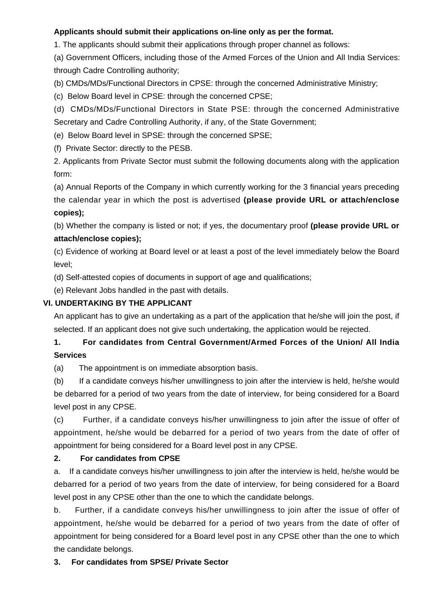#### **Applicants should submit their applications on-line only as per the format.**

1. The applicants should submit their applications through proper channel as follows:

(a) Government Officers, including those of the Armed Forces of the Union and All India Services: through Cadre Controlling authority;

(b) CMDs/MDs/Functional Directors in CPSE: through the concerned Administrative Ministry;

(c) Below Board level in CPSE: through the concerned CPSE;

(d) CMDs/MDs/Functional Directors in State PSE: through the concerned Administrative Secretary and Cadre Controlling Authority, if any, of the State Government;

(e) Below Board level in SPSE: through the concerned SPSE;

(f) Private Sector: directly to the PESB.

2. Applicants from Private Sector must submit the following documents along with the application form:

(a) Annual Reports of the Company in which currently working for the 3 financial years preceding the calendar year in which the post is advertised **(please provide URL or attach/enclose copies);**

(b) Whether the company is listed or not; if yes, the documentary proof **(please provide URL or attach/enclose copies);**

(c) Evidence of working at Board level or at least a post of the level immediately below the Board level;

(d) Self-attested copies of documents in support of age and qualifications;

(e) Relevant Jobs handled in the past with details.

#### **VI. UNDERTAKING BY THE APPLICANT**

An applicant has to give an undertaking as a part of the application that he/she will join the post, if selected. If an applicant does not give such undertaking, the application would be rejected.

## **1. For candidates from Central Government/Armed Forces of the Union/ All India Services**

(a) The appointment is on immediate absorption basis.

(b) If a candidate conveys his/her unwillingness to join after the interview is held, he/she would be debarred for a period of two years from the date of interview, for being considered for a Board level post in any CPSE.

(c) Further, if a candidate conveys his/her unwillingness to join after the issue of offer of appointment, he/she would be debarred for a period of two years from the date of offer of appointment for being considered for a Board level post in any CPSE.

#### **2. For candidates from CPSE**

a. If a candidate conveys his/her unwillingness to join after the interview is held, he/she would be debarred for a period of two years from the date of interview, for being considered for a Board level post in any CPSE other than the one to which the candidate belongs.

b. Further, if a candidate conveys his/her unwillingness to join after the issue of offer of appointment, he/she would be debarred for a period of two years from the date of offer of appointment for being considered for a Board level post in any CPSE other than the one to which the candidate belongs.

## **3. For candidates from SPSE/ Private Sector**